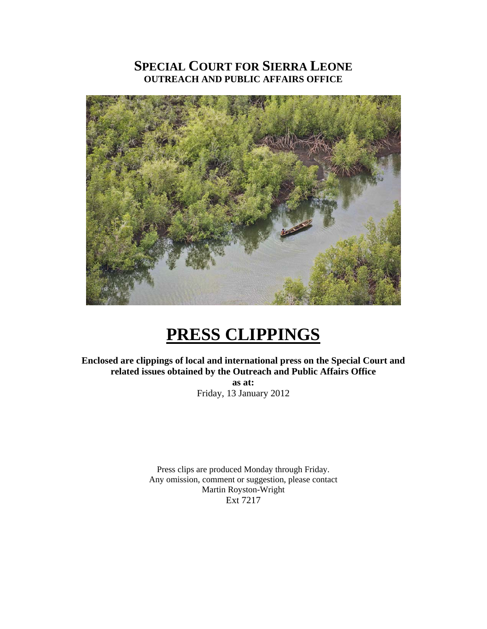### **SPECIAL COURT FOR SIERRA LEONE OUTREACH AND PUBLIC AFFAIRS OFFICE**



## **PRESS CLIPPINGS**

**Enclosed are clippings of local and international press on the Special Court and related issues obtained by the Outreach and Public Affairs Office** 

**as at:**  Friday, 13 January 2012

Press clips are produced Monday through Friday. Any omission, comment or suggestion, please contact Martin Royston-Wright Ext 7217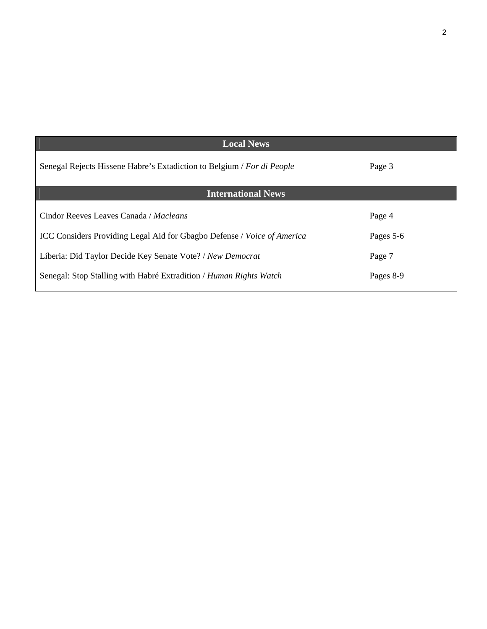| <b>Local News</b>                                                                     |           |
|---------------------------------------------------------------------------------------|-----------|
| Senegal Rejects Hissene Habre's Extadiction to Belgium / For di People                | Page 3    |
| <b>International News</b>                                                             |           |
| Cindor Reeves Leaves Canada / Macleans                                                | Page 4    |
| <b>ICC Considers Providing Legal Aid for Gbagbo Defense</b> / <i>Voice of America</i> | Pages 5-6 |
| Liberia: Did Taylor Decide Key Senate Vote? / New Democrat                            | Page 7    |
| Senegal: Stop Stalling with Habré Extradition / Human Rights Watch                    | Pages 8-9 |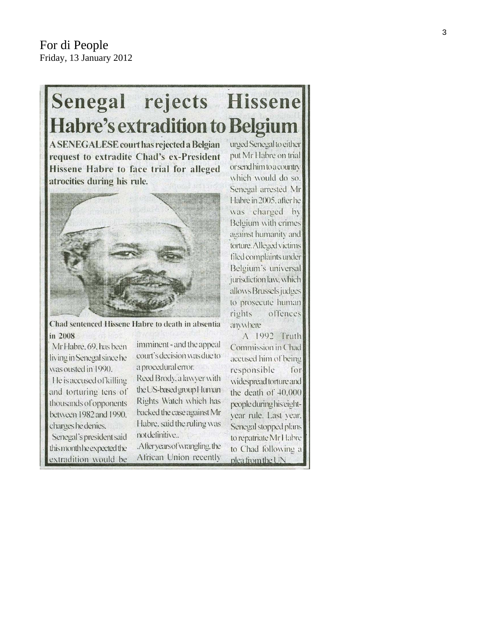# Senegal rejects Hissene **Habre's extradition to Belgium**

**A SENEGALESE court has rejected a Belgian** request to extradite Chad's ex-President Hissene Habre to face trial for alleged atrocities during his rule.



Chad sentenced Hissene Habre to death in absentia in 2008

Mr Habre, 69, has been living in Senegal since he was ousted in 1990. He is accused of killing and torturing tens of thousands of opponents between 1982 and 1990. charges he denies. Senegal's president said this month he expected the extradition would be

imminent - and the appeal court's decision was due to a procedural error.

Reed Brody, a lawyer with the US-based group Human Rights Watch which has backed the case against Mr Habre, said the ruling was not definitive..

.Afteryears of wrangling, the African Union recently

urged Senegal to either put Mr Habre on trial or send him to a country which would do so. Senegal arrested Mr Habre in 2005, after he was charged by Belgium with crimes against humanity and torture. Alleged victims filed complaints under Belgium's universal jurisdiction law, which allows Brussels judges to prosecute human rights offences anwhere

A 1992 Truth Commission in Chad accused him of being responsible for widespread torture and the death of 40,000 people during his eightyear rule. Last year, Senegal stopped plans to repatriate Mr Habre to Chad following a plea from the UN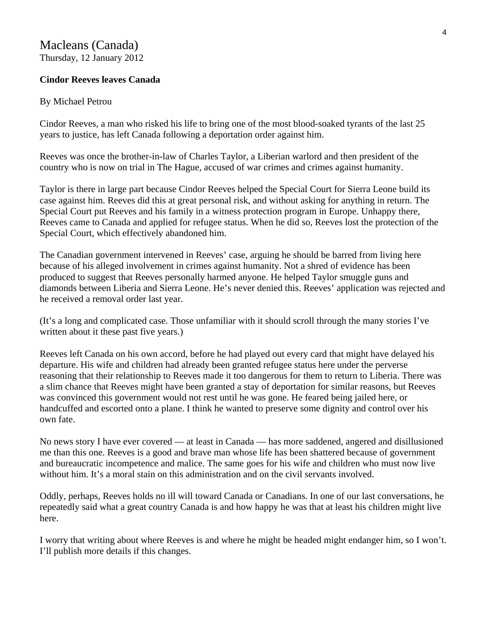#### Macleans (Canada) Thursday, 12 January 2012

#### **Cindor Reeves leaves Canada**

#### By Michael Petrou

Cindor Reeves, a man who risked his life to bring one of the most blood-soaked tyrants of the last 25 years to justice, has left Canada following a deportation order against him.

Reeves was once the brother-in-law of Charles Taylor, a Liberian warlord and then president of the country who is now on trial in The Hague, accused of war crimes and crimes against humanity.

Taylor is there in large part because Cindor Reeves helped the Special Court for Sierra Leone build its case against him. Reeves did this at great personal risk, and without asking for anything in return. The Special Court put Reeves and his family in a witness protection program in Europe. Unhappy there, Reeves came to Canada and applied for refugee status. When he did so, Reeves lost the protection of the Special Court, which effectively abandoned him.

The Canadian government intervened in Reeves' case, arguing he should be barred from living here because of his alleged involvement in crimes against humanity. Not a shred of evidence has been produced to suggest that Reeves personally harmed anyone. He helped Taylor smuggle guns and diamonds between Liberia and Sierra Leone. He's never denied this. Reeves' application was rejected and he received a removal order last year.

(It's a long and complicated case. Those unfamiliar with it should scroll through the many stories I've written about it these past five years.)

Reeves left Canada on his own accord, before he had played out every card that might have delayed his departure. His wife and children had already been granted refugee status here under the perverse reasoning that their relationship to Reeves made it too dangerous for them to return to Liberia. There was a slim chance that Reeves might have been granted a stay of deportation for similar reasons, but Reeves was convinced this government would not rest until he was gone. He feared being jailed here, or handcuffed and escorted onto a plane. I think he wanted to preserve some dignity and control over his own fate.

No news story I have ever covered — at least in Canada — has more saddened, angered and disillusioned me than this one. Reeves is a good and brave man whose life has been shattered because of government and bureaucratic incompetence and malice. The same goes for his wife and children who must now live without him. It's a moral stain on this administration and on the civil servants involved.

Oddly, perhaps, Reeves holds no ill will toward Canada or Canadians. In one of our last conversations, he repeatedly said what a great country Canada is and how happy he was that at least his children might live here.

I worry that writing about where Reeves is and where he might be headed might endanger him, so I won't. I'll publish more details if this changes.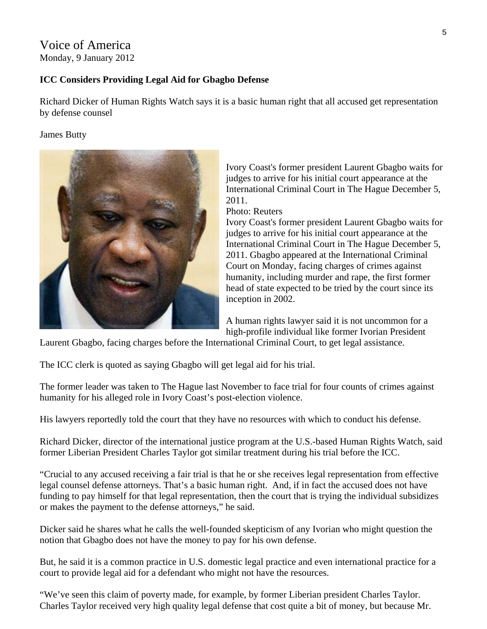#### Voice of America Monday, 9 January 2012

#### **ICC Considers Providing Legal Aid for Gbagbo Defense**

Richard Dicker of Human Rights Watch says it is a basic human right that all accused get representation by defense counsel

#### James Butty



Ivory Coast's former president Laurent Gbagbo waits for judges to arrive for his initial court appearance at the International Criminal Court in The Hague December 5, 2011.

Photo: Reuters

Ivory Coast's former president Laurent Gbagbo waits for judges to arrive for his initial court appearance at the International Criminal Court in The Hague December 5, 2011. Gbagbo appeared at the International Criminal Court on Monday, facing charges of crimes against humanity, including murder and rape, the first former head of state expected to be tried by the court since its inception in 2002.

A human rights lawyer said it is not uncommon for a high-profile individual like former Ivorian President

Laurent Gbagbo, facing charges before the International Criminal Court, to get legal assistance.

The ICC clerk is quoted as saying Gbagbo will get legal aid for his trial.

The former leader was taken to The Hague last November to face trial for four counts of crimes against humanity for his alleged role in Ivory Coast's post-election violence.

His lawyers reportedly told the court that they have no resources with which to conduct his defense.

Richard Dicker, director of the international justice program at the U.S.-based Human Rights Watch, said former Liberian President Charles Taylor got similar treatment during his trial before the ICC.

"Crucial to any accused receiving a fair trial is that he or she receives legal representation from effective legal counsel defense attorneys. That's a basic human right. And, if in fact the accused does not have funding to pay himself for that legal representation, then the court that is trying the individual subsidizes or makes the payment to the defense attorneys," he said.

Dicker said he shares what he calls the well-founded skepticism of any Ivorian who might question the notion that Gbagbo does not have the money to pay for his own defense.

But, he said it is a common practice in U.S. domestic legal practice and even international practice for a court to provide legal aid for a defendant who might not have the resources.

"We've seen this claim of poverty made, for example, by former Liberian president Charles Taylor. Charles Taylor received very high quality legal defense that cost quite a bit of money, but because Mr.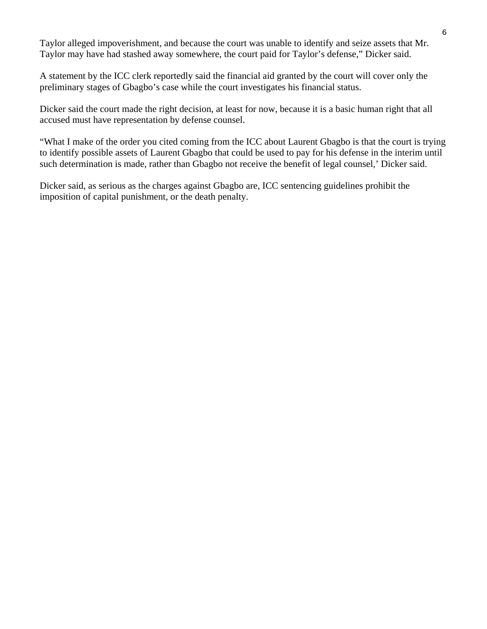Taylor alleged impoverishment, and because the court was unable to identify and seize assets that Mr. Taylor may have had stashed away somewhere, the court paid for Taylor's defense," Dicker said.

A statement by the ICC clerk reportedly said the financial aid granted by the court will cover only the preliminary stages of Gbagbo's case while the court investigates his financial status.

Dicker said the court made the right decision, at least for now, because it is a basic human right that all accused must have representation by defense counsel.

"What I make of the order you cited coming from the ICC about Laurent Gbagbo is that the court is trying to identify possible assets of Laurent Gbagbo that could be used to pay for his defense in the interim until such determination is made, rather than Gbagbo not receive the benefit of legal counsel,' Dicker said.

Dicker said, as serious as the charges against Gbagbo are, ICC sentencing guidelines prohibit the imposition of capital punishment, or the death penalty.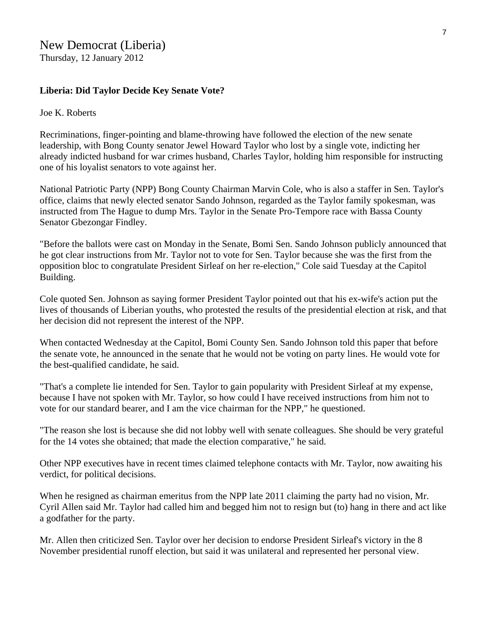#### **Liberia: Did Taylor Decide Key Senate Vote?**

#### Joe K. Roberts

Recriminations, finger-pointing and blame-throwing have followed the election of the new senate leadership, with Bong County senator Jewel Howard Taylor who lost by a single vote, indicting her already indicted husband for war crimes husband, Charles Taylor, holding him responsible for instructing one of his loyalist senators to vote against her.

National Patriotic Party (NPP) Bong County Chairman Marvin Cole, who is also a staffer in Sen. Taylor's office, claims that newly elected senator Sando Johnson, regarded as the Taylor family spokesman, was instructed from The Hague to dump Mrs. Taylor in the Senate Pro-Tempore race with Bassa County Senator Gbezongar Findley.

"Before the ballots were cast on Monday in the Senate, Bomi Sen. Sando Johnson publicly announced that he got clear instructions from Mr. Taylor not to vote for Sen. Taylor because she was the first from the opposition bloc to congratulate President Sirleaf on her re-election," Cole said Tuesday at the Capitol Building.

Cole quoted Sen. Johnson as saying former President Taylor pointed out that his ex-wife's action put the lives of thousands of Liberian youths, who protested the results of the presidential election at risk, and that her decision did not represent the interest of the NPP.

When contacted Wednesday at the Capitol, Bomi County Sen. Sando Johnson told this paper that before the senate vote, he announced in the senate that he would not be voting on party lines. He would vote for the best-qualified candidate, he said.

"That's a complete lie intended for Sen. Taylor to gain popularity with President Sirleaf at my expense, because I have not spoken with Mr. Taylor, so how could I have received instructions from him not to vote for our standard bearer, and I am the vice chairman for the NPP," he questioned.

"The reason she lost is because she did not lobby well with senate colleagues. She should be very grateful for the 14 votes she obtained; that made the election comparative," he said.

Other NPP executives have in recent times claimed telephone contacts with Mr. Taylor, now awaiting his verdict, for political decisions.

When he resigned as chairman emeritus from the NPP late 2011 claiming the party had no vision, Mr. Cyril Allen said Mr. Taylor had called him and begged him not to resign but (to) hang in there and act like a godfather for the party.

Mr. Allen then criticized Sen. Taylor over her decision to endorse President Sirleaf's victory in the 8 November presidential runoff election, but said it was unilateral and represented her personal view.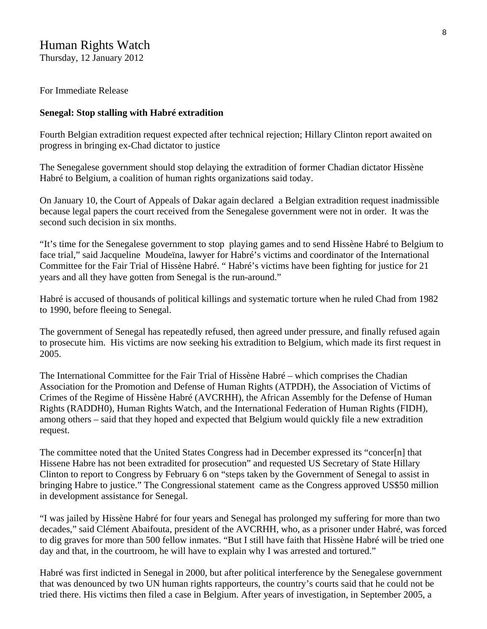#### Human Rights Watch

Thursday, 12 January 2012

#### For Immediate Release

#### **Senegal: Stop stalling with Habré extradition**

Fourth Belgian extradition request expected after technical rejection; Hillary Clinton report awaited on progress in bringing ex-Chad dictator to justice

The Senegalese government should stop delaying the extradition of former Chadian dictator Hissène Habré to Belgium, a coalition of human rights organizations said today.

On January 10, the Court of Appeals of Dakar again declared a Belgian extradition request inadmissible because legal papers the court received from the Senegalese government were not in order. It was the second such decision in six months.

"It's time for the Senegalese government to stop playing games and to send Hissène Habré to Belgium to face trial," said Jacqueline Moudeïna, lawyer for Habré's victims and coordinator of the International Committee for the Fair Trial of Hissène Habré. " Habré's victims have been fighting for justice for 21 years and all they have gotten from Senegal is the run-around."

Habré is accused of thousands of political killings and systematic torture when he ruled Chad from 1982 to 1990, before fleeing to Senegal.

The government of Senegal has repeatedly refused, then agreed under pressure, and finally refused again to prosecute him. His victims are now seeking his extradition to Belgium, which made its first request in 2005.

The International Committee for the Fair Trial of Hissène Habré – which comprises the Chadian Association for the Promotion and Defense of Human Rights (ATPDH), the Association of Victims of Crimes of the Regime of Hissène Habré (AVCRHH), the African Assembly for the Defense of Human Rights (RADDH0), Human Rights Watch, and the International Federation of Human Rights (FIDH), among others – said that they hoped and expected that Belgium would quickly file a new extradition request.

The committee noted that the United States Congress had in December expressed its "concer[n] that Hissene Habre has not been extradited for prosecution" and requested US Secretary of State Hillary Clinton to report to Congress by February 6 on "steps taken by the Government of Senegal to assist in bringing Habre to justice." The Congressional statement came as the Congress approved US\$50 million in development assistance for Senegal.

"I was jailed by Hissène Habré for four years and Senegal has prolonged my suffering for more than two decades," said Clément Abaifouta, president of the AVCRHH, who, as a prisoner under Habré, was forced to dig graves for more than 500 fellow inmates. "But I still have faith that Hissène Habré will be tried one day and that, in the courtroom, he will have to explain why I was arrested and tortured."

Habré was first indicted in Senegal in 2000, but after political interference by the Senegalese government that was denounced by two UN human rights rapporteurs, the country's courts said that he could not be tried there. His victims then filed a case in Belgium. After years of investigation, in September 2005, a